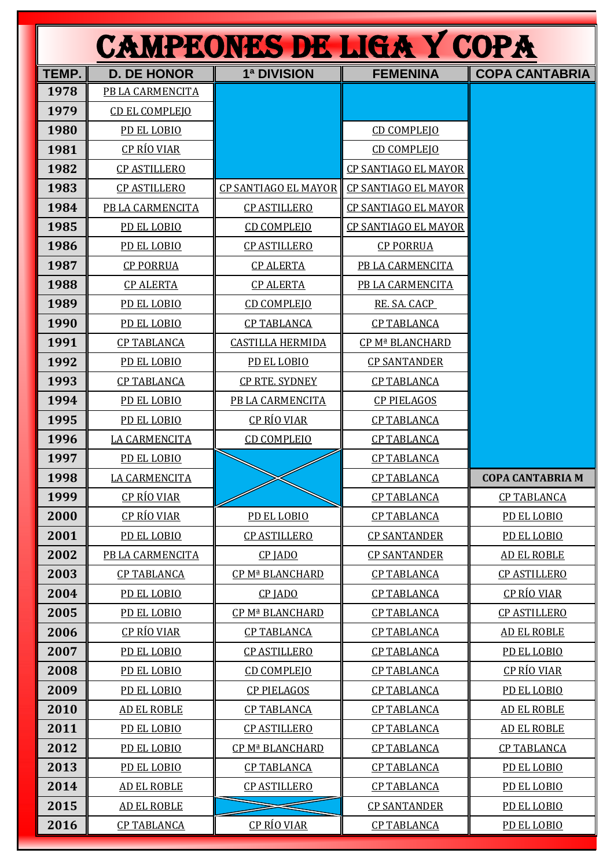| <b>CAMPEONES DE LIGA Y COPA</b> |                       |                             |                             |                         |
|---------------------------------|-----------------------|-----------------------------|-----------------------------|-------------------------|
| TEMP.                           | <b>D. DE HONOR</b>    | 1ª DIVISION                 | <b>FEMENINA</b>             | <b>COPA CANTABRIA</b>   |
| 1978                            | PB LA CARMENCITA      |                             |                             |                         |
| 1979                            | <b>CD EL COMPLEIO</b> |                             |                             |                         |
| 1980                            | PD EL LOBIO           |                             | <b>CD COMPLEIO</b>          |                         |
| 1981                            | <u>CP RÍO VIAR</u>    |                             | <b>CD COMPLEJO</b>          |                         |
| 1982                            | <b>CP ASTILLERO</b>   |                             | <b>CP SANTIAGO EL MAYOR</b> |                         |
| 1983                            | <b>CP ASTILLERO</b>   | <b>CP SANTIAGO EL MAYOR</b> | <b>CP SANTIAGO EL MAYOR</b> |                         |
| 1984                            | PB LA CARMENCITA      | <b>CP ASTILLERO</b>         | <b>CP SANTIAGO EL MAYOR</b> |                         |
| 1985                            | PD EL LOBIO           | <b>CD COMPLEJO</b>          | <b>CP SANTIAGO EL MAYOR</b> |                         |
| 1986                            | PD EL LOBIO           | <b>CP ASTILLERO</b>         | <b>CP PORRUA</b>            |                         |
| 1987                            | <b>CP PORRUA</b>      | <b>CP ALERTA</b>            | PB LA CARMENCITA            |                         |
| 1988                            | <b>CP ALERTA</b>      | <b>CP ALERTA</b>            | PB LA CARMENCITA            |                         |
| 1989                            | PD EL LOBIO           | <b>CD COMPLEIO</b>          | RE. SA. CACP                |                         |
| 1990                            | PD EL LOBIO           | <b>CP TABLANCA</b>          | <b>CP TABLANCA</b>          |                         |
| 1991                            | <b>CP TABLANCA</b>    | <b>CASTILLA HERMIDA</b>     | CP Mª BLANCHARD             |                         |
| 1992                            | PD EL LOBIO           | PD EL LOBIO                 | <b>CP SANTANDER</b>         |                         |
| 1993                            | <b>CP TABLANCA</b>    | <b>CP RTE. SYDNEY</b>       | <b>CP TABLANCA</b>          |                         |
| 1994                            | PD EL LOBIO           | PB LA CARMENCITA            | <b>CP PIELAGOS</b>          |                         |
| 1995                            | PD EL LOBIO           | CP RÍO VIAR                 | <b>CP TABLANCA</b>          |                         |
| 1996                            | <b>LA CARMENCITA</b>  | <b>CD COMPLEJO</b>          | <b>CP TABLANCA</b>          |                         |
| 1997                            | PD EL LOBIO           |                             | <b>CP TABLANCA</b>          |                         |
| 1998                            | <b>LA CARMENCITA</b>  |                             | <b>CP TABLANCA</b>          | <b>COPA CANTABRIA M</b> |
| 1999                            | CP RÍO VIAR           |                             | <b>CP TABLANCA</b>          | <b>CP TABLANCA</b>      |
| 2000                            | CP RÍO VIAR           | PD EL LOBIO                 | <b>CP TABLANCA</b>          | PD EL LOBIO             |
| 2001                            | PD EL LOBIO           | <b>CP ASTILLERO</b>         | <b>CP SANTANDER</b>         | PD EL LOBIO             |
| 2002                            | PB LA CARMENCITA      | CP JADO                     | <b>CP SANTANDER</b>         | AD EL ROBLE             |
| 2003                            | <b>CP TABLANCA</b>    | CP Mª BLANCHARD             | <b>CP TABLANCA</b>          | <b>CP ASTILLERO</b>     |
| 2004                            | PD EL LOBIO           | CP JADO                     | <b>CP TABLANCA</b>          | <u>CP RÍO VIAR</u>      |
| 2005                            | PD EL LOBIO           | CP Mª BLANCHARD             | <b>CP TABLANCA</b>          | <b>CP ASTILLERO</b>     |
| 2006                            | CP RÍO VIAR           | <b>CP TABLANCA</b>          | <b>CP TABLANCA</b>          | <b>AD EL ROBLE</b>      |
| 2007                            | PD EL LOBIO           | <b>CP ASTILLERO</b>         | <b>CP TABLANCA</b>          | PD EL LOBIO             |
| 2008                            | PD EL LOBIO           | <b>CD COMPLEIO</b>          | <b>CP TABLANCA</b>          | <u>CP RÍO VIAR</u>      |
| 2009                            | PD EL LOBIO           | <b>CP PIELAGOS</b>          | <b>CP TABLANCA</b>          | PD EL LOBIO             |
| 2010                            | <b>AD EL ROBLE</b>    | <b>CP TABLANCA</b>          | <b>CP TABLANCA</b>          | <b>AD EL ROBLE</b>      |
| 2011                            | PD EL LOBIO           | <b>CP ASTILLERO</b>         | <b>CP TABLANCA</b>          | <b>AD EL ROBLE</b>      |
| 2012                            | PD EL LOBIO           | CP Mª BLANCHARD             | <b>CP TABLANCA</b>          | <b>CP TABLANCA</b>      |
| 2013                            | PD EL LOBIO           | <b>CP TABLANCA</b>          | <b>CP TABLANCA</b>          | PD EL LOBIO             |
| 2014                            | <b>AD EL ROBLE</b>    | <b>CP ASTILLERO</b>         | <b>CP TABLANCA</b>          | PD EL LOBIO             |
| 2015                            | <b>AD EL ROBLE</b>    |                             | <b>CP SANTANDER</b>         | PD EL LOBIO             |
| 2016                            | <b>CP TABLANCA</b>    | <b>CP RÍO VIAR</b>          | <b>CP TABLANCA</b>          | PD EL LOBIO             |